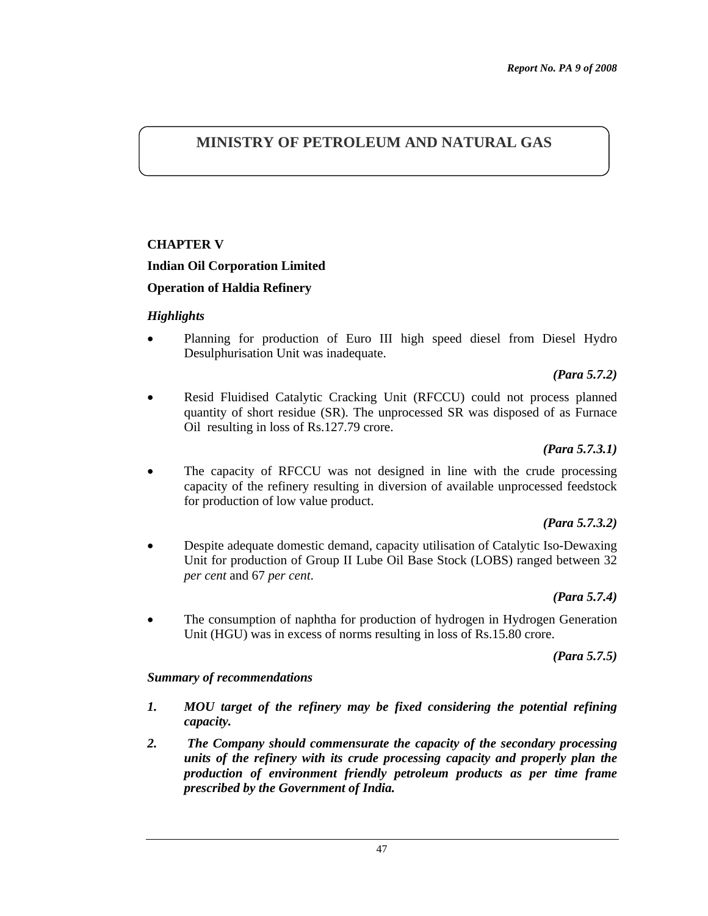# **MINISTRY OF PETROLEUM AND NATURAL GAS**

## **CHAPTER V**

## **Indian Oil Corporation Limited**

## **Operation of Haldia Refinery**

#### *Highlights*

• Planning for production of Euro III high speed diesel from Diesel Hydro Desulphurisation Unit was inadequate.

#### *(Para 5.7.2)*

• Resid Fluidised Catalytic Cracking Unit (RFCCU) could not process planned quantity of short residue (SR). The unprocessed SR was disposed of as Furnace Oil resulting in loss of Rs.127.79 crore.

#### *(Para 5.7.3.1)*

The capacity of RFCCU was not designed in line with the crude processing capacity of the refinery resulting in diversion of available unprocessed feedstock for production of low value product.

#### *(Para 5.7.3.2)*

• Despite adequate domestic demand, capacity utilisation of Catalytic Iso-Dewaxing Unit for production of Group II Lube Oil Base Stock (LOBS) ranged between 32 *per cent* and 67 *per cent*.

## *(Para 5.7.4)*

• The consumption of naphtha for production of hydrogen in Hydrogen Generation Unit (HGU) was in excess of norms resulting in loss of Rs.15.80 crore.

#### *(Para 5.7.5)*

#### *Summary of recommendations*

- *1. MOU target of the refinery may be fixed considering the potential refining capacity.*
- *2. The Company should commensurate the capacity of the secondary processing units of the refinery with its crude processing capacity and properly plan the production of environment friendly petroleum products as per time frame prescribed by the Government of India.*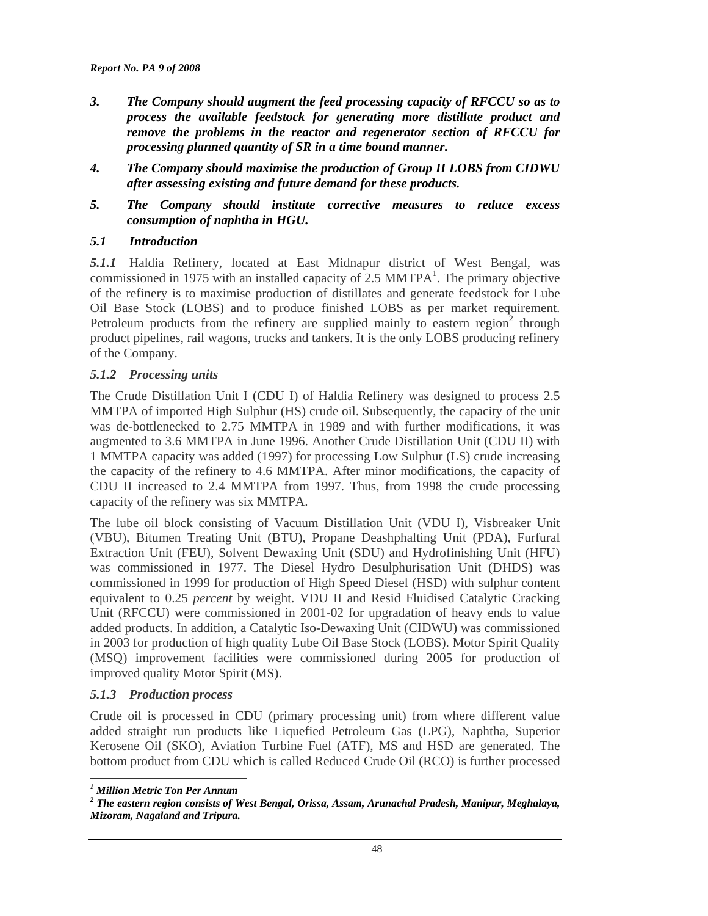- *3. The Company should augment the feed processing capacity of RFCCU so as to process the available feedstock for generating more distillate product and remove the problems in the reactor and regenerator section of RFCCU for processing planned quantity of SR in a time bound manner.*
- *4. The Company should maximise the production of Group II LOBS from CIDWU after assessing existing and future demand for these products.*
- *5. The Company should institute corrective measures to reduce excess consumption of naphtha in HGU.*

## *5.1 Introduction*

*5.1.1* Haldia Refinery, located at East Midnapur district of West Bengal, was commissioned in 1975 with an installed capacity of  $2.5$  MMTPA<sup>1</sup>. The primary objective of the refinery is to maximise production of distillates and generate feedstock for Lube Oil Base Stock (LOBS) and to produce finished LOBS as per market requirement. Petroleum products from the refinery are supplied mainly to eastern region<sup>2</sup> through product pipelines, rail wagons, trucks and tankers. It is the only LOBS producing refinery of the Company.

#### *5.1.2 Processing units*

The Crude Distillation Unit I (CDU I) of Haldia Refinery was designed to process 2.5 MMTPA of imported High Sulphur (HS) crude oil. Subsequently, the capacity of the unit was de-bottlenecked to 2.75 MMTPA in 1989 and with further modifications, it was augmented to 3.6 MMTPA in June 1996. Another Crude Distillation Unit (CDU II) with 1 MMTPA capacity was added (1997) for processing Low Sulphur (LS) crude increasing the capacity of the refinery to 4.6 MMTPA. After minor modifications, the capacity of CDU II increased to 2.4 MMTPA from 1997. Thus, from 1998 the crude processing capacity of the refinery was six MMTPA.

The lube oil block consisting of Vacuum Distillation Unit (VDU I), Visbreaker Unit (VBU), Bitumen Treating Unit (BTU), Propane Deashphalting Unit (PDA), Furfural Extraction Unit (FEU), Solvent Dewaxing Unit (SDU) and Hydrofinishing Unit (HFU) was commissioned in 1977. The Diesel Hydro Desulphurisation Unit (DHDS) was commissioned in 1999 for production of High Speed Diesel (HSD) with sulphur content equivalent to 0.25 *percent* by weight. VDU II and Resid Fluidised Catalytic Cracking Unit (RFCCU) were commissioned in 2001-02 for upgradation of heavy ends to value added products. In addition, a Catalytic Iso-Dewaxing Unit (CIDWU) was commissioned in 2003 for production of high quality Lube Oil Base Stock (LOBS). Motor Spirit Quality (MSQ) improvement facilities were commissioned during 2005 for production of improved quality Motor Spirit (MS).

#### *5.1.3 Production process*

Crude oil is processed in CDU (primary processing unit) from where different value added straight run products like Liquefied Petroleum Gas (LPG), Naphtha, Superior Kerosene Oil (SKO), Aviation Turbine Fuel (ATF), MS and HSD are generated. The bottom product from CDU which is called Reduced Crude Oil (RCO) is further processed

 *1 Million Metric Ton Per Annum* 

*<sup>2</sup> The eastern region consists of West Bengal, Orissa, Assam, Arunachal Pradesh, Manipur, Meghalaya, Mizoram, Nagaland and Tripura.*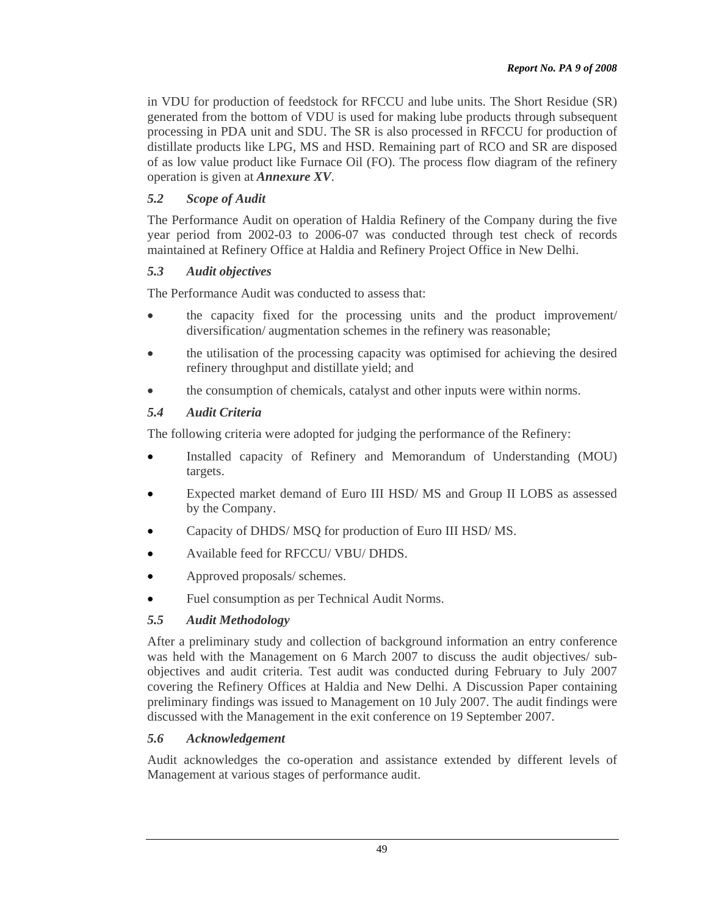in VDU for production of feedstock for RFCCU and lube units. The Short Residue (SR) generated from the bottom of VDU is used for making lube products through subsequent processing in PDA unit and SDU. The SR is also processed in RFCCU for production of distillate products like LPG, MS and HSD. Remaining part of RCO and SR are disposed of as low value product like Furnace Oil (FO). The process flow diagram of the refinery operation is given at *Annexure XV*.

## *5.2 Scope of Audit*

The Performance Audit on operation of Haldia Refinery of the Company during the five year period from 2002-03 to 2006-07 was conducted through test check of records maintained at Refinery Office at Haldia and Refinery Project Office in New Delhi.

## *5.3 Audit objectives*

The Performance Audit was conducted to assess that:

- the capacity fixed for the processing units and the product improvement/ diversification/ augmentation schemes in the refinery was reasonable;
- the utilisation of the processing capacity was optimised for achieving the desired refinery throughput and distillate yield; and
- the consumption of chemicals, catalyst and other inputs were within norms.

## *5.4 Audit Criteria*

The following criteria were adopted for judging the performance of the Refinery:

- Installed capacity of Refinery and Memorandum of Understanding (MOU) targets.
- Expected market demand of Euro III HSD/ MS and Group II LOBS as assessed by the Company.
- Capacity of DHDS/ MSQ for production of Euro III HSD/ MS.
- Available feed for RFCCU/ VBU/ DHDS.
- Approved proposals/ schemes.
- Fuel consumption as per Technical Audit Norms.

## *5.5 Audit Methodology*

After a preliminary study and collection of background information an entry conference was held with the Management on 6 March 2007 to discuss the audit objectives/ subobjectives and audit criteria. Test audit was conducted during February to July 2007 covering the Refinery Offices at Haldia and New Delhi. A Discussion Paper containing preliminary findings was issued to Management on 10 July 2007. The audit findings were discussed with the Management in the exit conference on 19 September 2007.

## *5.6 Acknowledgement*

Audit acknowledges the co-operation and assistance extended by different levels of Management at various stages of performance audit.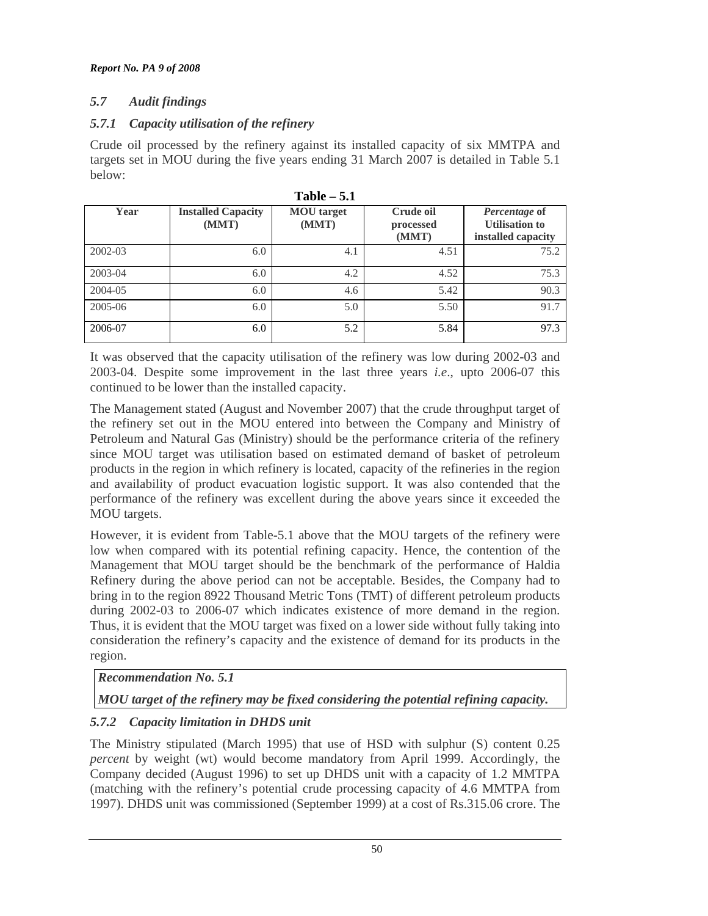# *5.7 Audit findings*

## *5.7.1 Capacity utilisation of the refinery*

Crude oil processed by the refinery against its installed capacity of six MMTPA and targets set in MOU during the five years ending 31 March 2007 is detailed in Table 5.1 below:

| *****<br>$\ddotsc$ |                                    |                            |                                 |                                                              |  |  |
|--------------------|------------------------------------|----------------------------|---------------------------------|--------------------------------------------------------------|--|--|
| Year               | <b>Installed Capacity</b><br>(MMT) | <b>MOU</b> target<br>(MMT) | Crude oil<br>processed<br>(MMT) | Percentage of<br><b>Utilisation to</b><br>installed capacity |  |  |
| 2002-03            | 6.0                                | 4.1                        | 4.51                            | 75.2                                                         |  |  |
| 2003-04            | 6.0                                | 4.2                        | 4.52                            | 75.3                                                         |  |  |
| 2004-05            | 6.0                                | 4.6                        | 5.42                            | 90.3                                                         |  |  |
| 2005-06            | 6.0                                | 5.0                        | 5.50                            | 91.7                                                         |  |  |
| 2006-07            | 6.0                                | 5.2                        | 5.84                            | 97.3                                                         |  |  |

**Table – 5.1** 

It was observed that the capacity utilisation of the refinery was low during 2002-03 and 2003-04. Despite some improvement in the last three years *i.e*., upto 2006-07 this continued to be lower than the installed capacity.

The Management stated (August and November 2007) that the crude throughput target of the refinery set out in the MOU entered into between the Company and Ministry of Petroleum and Natural Gas (Ministry) should be the performance criteria of the refinery since MOU target was utilisation based on estimated demand of basket of petroleum products in the region in which refinery is located, capacity of the refineries in the region and availability of product evacuation logistic support. It was also contended that the performance of the refinery was excellent during the above years since it exceeded the MOU targets.

However, it is evident from Table-5.1 above that the MOU targets of the refinery were low when compared with its potential refining capacity. Hence, the contention of the Management that MOU target should be the benchmark of the performance of Haldia Refinery during the above period can not be acceptable. Besides, the Company had to bring in to the region 8922 Thousand Metric Tons (TMT) of different petroleum products during 2002-03 to 2006-07 which indicates existence of more demand in the region. Thus, it is evident that the MOU target was fixed on a lower side without fully taking into consideration the refinery's capacity and the existence of demand for its products in the region.

# *Recommendation No. 5.1*

# *MOU target of the refinery may be fixed considering the potential refining capacity.*

# *5.7.2 Capacity limitation in DHDS unit*

The Ministry stipulated (March 1995) that use of HSD with sulphur (S) content 0.25 *percent* by weight (wt) would become mandatory from April 1999. Accordingly, the Company decided (August 1996) to set up DHDS unit with a capacity of 1.2 MMTPA (matching with the refinery's potential crude processing capacity of 4.6 MMTPA from 1997). DHDS unit was commissioned (September 1999) at a cost of Rs.315.06 crore. The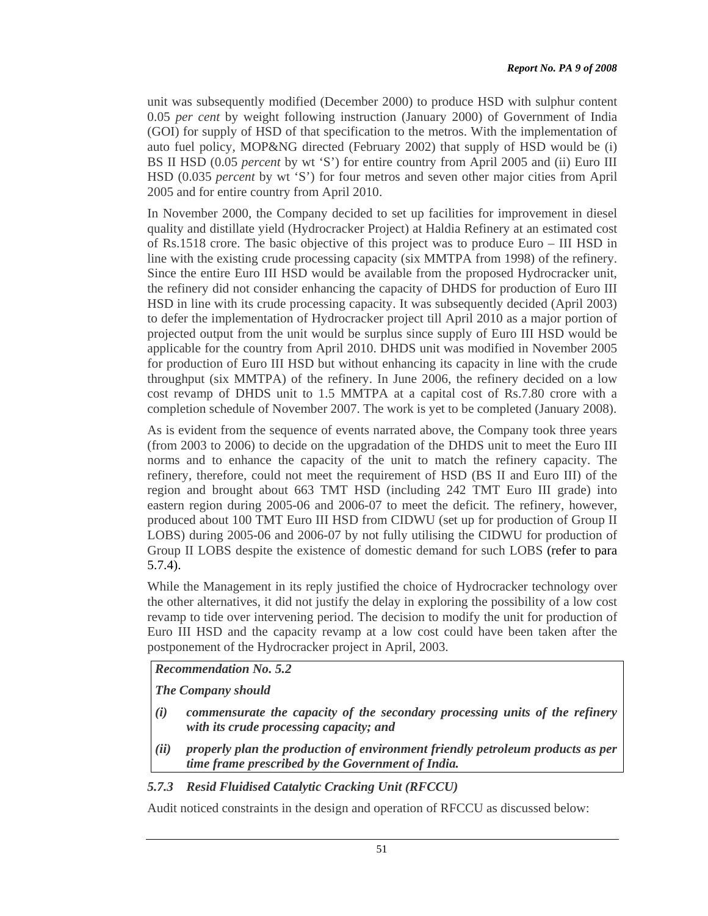unit was subsequently modified (December 2000) to produce HSD with sulphur content 0.05 *per cent* by weight following instruction (January 2000) of Government of India (GOI) for supply of HSD of that specification to the metros. With the implementation of auto fuel policy, MOP&NG directed (February 2002) that supply of HSD would be (i) BS II HSD (0.05 *percent* by wt 'S') for entire country from April 2005 and (ii) Euro III HSD (0.035 *percent* by wt 'S') for four metros and seven other major cities from April 2005 and for entire country from April 2010.

In November 2000, the Company decided to set up facilities for improvement in diesel quality and distillate yield (Hydrocracker Project) at Haldia Refinery at an estimated cost of Rs.1518 crore. The basic objective of this project was to produce Euro – III HSD in line with the existing crude processing capacity (six MMTPA from 1998) of the refinery. Since the entire Euro III HSD would be available from the proposed Hydrocracker unit, the refinery did not consider enhancing the capacity of DHDS for production of Euro III HSD in line with its crude processing capacity. It was subsequently decided (April 2003) to defer the implementation of Hydrocracker project till April 2010 as a major portion of projected output from the unit would be surplus since supply of Euro III HSD would be applicable for the country from April 2010. DHDS unit was modified in November 2005 for production of Euro III HSD but without enhancing its capacity in line with the crude throughput (six MMTPA) of the refinery. In June 2006, the refinery decided on a low cost revamp of DHDS unit to 1.5 MMTPA at a capital cost of Rs.7.80 crore with a completion schedule of November 2007. The work is yet to be completed (January 2008).

As is evident from the sequence of events narrated above, the Company took three years (from 2003 to 2006) to decide on the upgradation of the DHDS unit to meet the Euro III norms and to enhance the capacity of the unit to match the refinery capacity. The refinery, therefore, could not meet the requirement of HSD (BS II and Euro III) of the region and brought about 663 TMT HSD (including 242 TMT Euro III grade) into eastern region during 2005-06 and 2006-07 to meet the deficit. The refinery, however, produced about 100 TMT Euro III HSD from CIDWU (set up for production of Group II LOBS) during 2005-06 and 2006-07 by not fully utilising the CIDWU for production of Group II LOBS despite the existence of domestic demand for such LOBS (refer to para 5.7.4).

While the Management in its reply justified the choice of Hydrocracker technology over the other alternatives, it did not justify the delay in exploring the possibility of a low cost revamp to tide over intervening period. The decision to modify the unit for production of Euro III HSD and the capacity revamp at a low cost could have been taken after the postponement of the Hydrocracker project in April, 2003.

*Recommendation No. 5.2* 

*The Company should* 

- *(i) commensurate the capacity of the secondary processing units of the refinery with its crude processing capacity; and*
- *(ii) properly plan the production of environment friendly petroleum products as per time frame prescribed by the Government of India.*

# *5.7.3 Resid Fluidised Catalytic Cracking Unit (RFCCU)*

Audit noticed constraints in the design and operation of RFCCU as discussed below: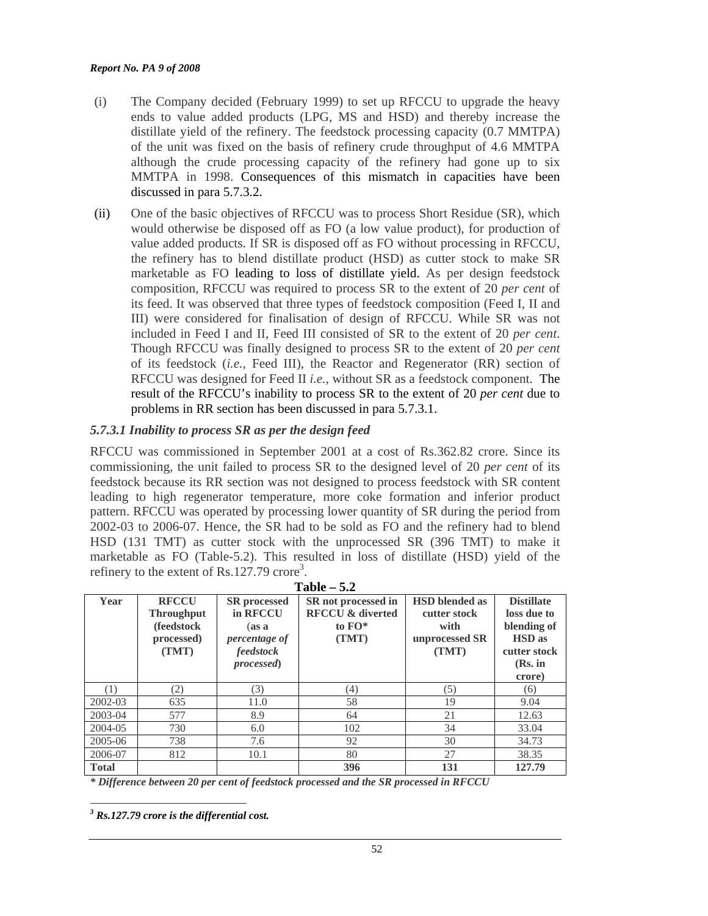#### *Report No. PA 9 of 2008*

- (i) The Company decided (February 1999) to set up RFCCU to upgrade the heavy ends to value added products (LPG, MS and HSD) and thereby increase the distillate yield of the refinery. The feedstock processing capacity (0.7 MMTPA) of the unit was fixed on the basis of refinery crude throughput of 4.6 MMTPA although the crude processing capacity of the refinery had gone up to six MMTPA in 1998. Consequences of this mismatch in capacities have been discussed in para 5.7.3.2.
- (ii) One of the basic objectives of RFCCU was to process Short Residue (SR), which would otherwise be disposed off as FO (a low value product), for production of value added products. If SR is disposed off as FO without processing in RFCCU, the refinery has to blend distillate product (HSD) as cutter stock to make SR marketable as FO leading to loss of distillate yield. As per design feedstock composition, RFCCU was required to process SR to the extent of 20 *per cent* of its feed. It was observed that three types of feedstock composition (Feed I, II and III) were considered for finalisation of design of RFCCU. While SR was not included in Feed I and II, Feed III consisted of SR to the extent of 20 *per cent*. Though RFCCU was finally designed to process SR to the extent of 20 *per cent* of its feedstock (*i.e.,* Feed III), the Reactor and Regenerator (RR) section of RFCCU was designed for Feed II *i.e.,* without SR as a feedstock component. The result of the RFCCU's inability to process SR to the extent of 20 *per cent* due to problems in RR section has been discussed in para 5.7.3.1.

## *5.7.3.1 Inability to process SR as per the design feed*

RFCCU was commissioned in September 2001 at a cost of Rs.362.82 crore. Since its commissioning, the unit failed to process SR to the designed level of 20 *per cent* of its feedstock because its RR section was not designed to process feedstock with SR content leading to high regenerator temperature, more coke formation and inferior product pattern. RFCCU was operated by processing lower quantity of SR during the period from 2002-03 to 2006-07. Hence, the SR had to be sold as FO and the refinery had to blend HSD (131 TMT) as cutter stock with the unprocessed SR (396 TMT) to make it marketable as FO (Table-5.2). This resulted in loss of distillate (HSD) yield of the refinery to the extent of Rs.127.79 crore<sup>3</sup>.

| $1$ able $-$ 5.4 |                                                                         |                                                                                                     |                                                                       |                                                                          |                                                                                                         |  |
|------------------|-------------------------------------------------------------------------|-----------------------------------------------------------------------------------------------------|-----------------------------------------------------------------------|--------------------------------------------------------------------------|---------------------------------------------------------------------------------------------------------|--|
| Year             | <b>RFCCU</b><br><b>Throughput</b><br>(feedstock)<br>processed)<br>(TMT) | <b>SR</b> processed<br>in RFCCU<br>(as a<br><i>percentage of</i><br>feedstock<br><i>processed</i> ) | SR not processed in<br><b>RFCCU &amp; diverted</b><br>to FO*<br>(TMT) | <b>HSD</b> blended as<br>cutter stock<br>with<br>unprocessed SR<br>(TMT) | <b>Distillate</b><br>loss due to<br>blending of<br><b>HSD</b> as<br>cutter stock<br>$(Rs.$ in<br>crore) |  |
| (1)              | (2)                                                                     | (3)                                                                                                 | (4)                                                                   | (5)                                                                      | (6)                                                                                                     |  |
|                  | 635                                                                     |                                                                                                     | 58                                                                    | 19                                                                       |                                                                                                         |  |
| 2002-03          |                                                                         | 11.0                                                                                                |                                                                       |                                                                          | 9.04                                                                                                    |  |
| 2003-04          | 577                                                                     | 8.9                                                                                                 | 64                                                                    | 21                                                                       | 12.63                                                                                                   |  |
| 2004-05          | 730                                                                     | 6.0                                                                                                 | 102                                                                   | 34                                                                       | 33.04                                                                                                   |  |
| 2005-06          | 738                                                                     | 7.6                                                                                                 | 92                                                                    | 30                                                                       | 34.73                                                                                                   |  |
| 2006-07          | 812                                                                     | 10.1                                                                                                | 80                                                                    | 27                                                                       | 38.35                                                                                                   |  |
| <b>Total</b>     |                                                                         |                                                                                                     | 396                                                                   | 131                                                                      | 127.79                                                                                                  |  |

| Table |  |
|-------|--|
|-------|--|

*\* Difference between 20 per cent of feedstock processed and the SR processed in RFCCU* 

 $\overline{a}$ 

*<sup>3</sup> Rs.127.79 crore is the differential cost.*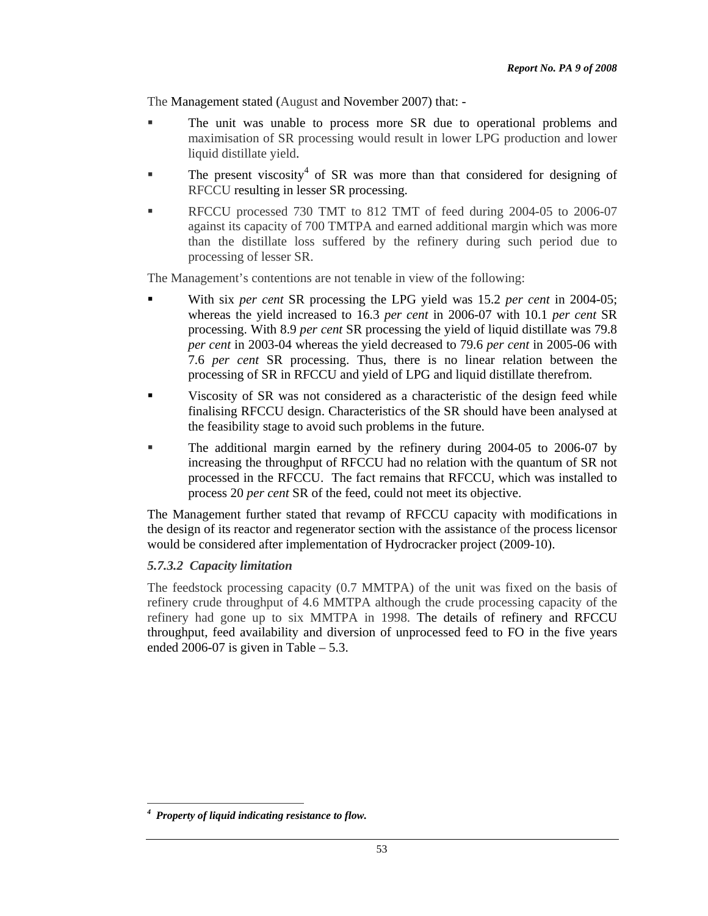The Management stated (August and November 2007) that: -

- The unit was unable to process more SR due to operational problems and maximisation of SR processing would result in lower LPG production and lower liquid distillate yield.
- $\blacksquare$  The present viscosity<sup>4</sup> of SR was more than that considered for designing of RFCCU resulting in lesser SR processing.
- RFCCU processed 730 TMT to 812 TMT of feed during 2004-05 to 2006-07 against its capacity of 700 TMTPA and earned additional margin which was more than the distillate loss suffered by the refinery during such period due to processing of lesser SR.

The Management's contentions are not tenable in view of the following:

- With six *per cent* SR processing the LPG yield was 15.2 *per cent* in 2004-05; whereas the yield increased to 16.3 *per cent* in 2006-07 with 10.1 *per cent* SR processing. With 8.9 *per cent* SR processing the yield of liquid distillate was 79.8 *per cent* in 2003-04 whereas the yield decreased to 79.6 *per cent* in 2005-06 with 7.6 *per cent* SR processing. Thus, there is no linear relation between the processing of SR in RFCCU and yield of LPG and liquid distillate therefrom.
- Viscosity of SR was not considered as a characteristic of the design feed while finalising RFCCU design. Characteristics of the SR should have been analysed at the feasibility stage to avoid such problems in the future.
- The additional margin earned by the refinery during 2004-05 to 2006-07 by increasing the throughput of RFCCU had no relation with the quantum of SR not processed in the RFCCU. The fact remains that RFCCU, which was installed to process 20 *per cent* SR of the feed, could not meet its objective.

The Management further stated that revamp of RFCCU capacity with modifications in the design of its reactor and regenerator section with the assistance of the process licensor would be considered after implementation of Hydrocracker project (2009-10).

## *5.7.3.2 Capacity limitation*

The feedstock processing capacity (0.7 MMTPA) of the unit was fixed on the basis of refinery crude throughput of 4.6 MMTPA although the crude processing capacity of the refinery had gone up to six MMTPA in 1998. The details of refinery and RFCCU throughput, feed availability and diversion of unprocessed feed to FO in the five years ended 2006-07 is given in Table  $-5.3$ .

 $\overline{a}$ *4 Property of liquid indicating resistance to flow.*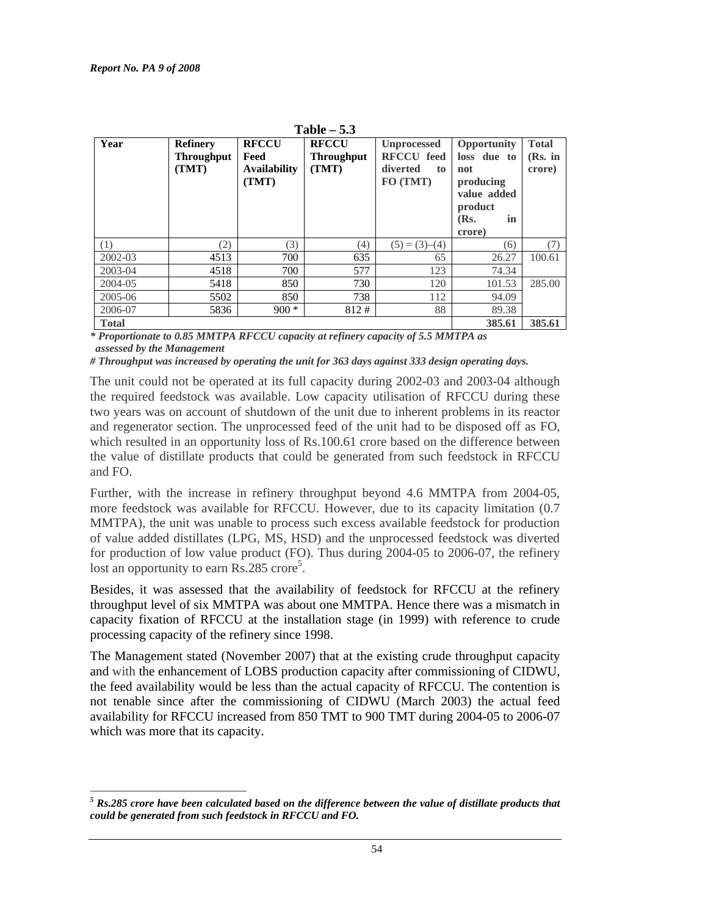| Table $-5.3$ |                                               |                                                      |                                            |                                                                       |                                                                                                         |                                     |
|--------------|-----------------------------------------------|------------------------------------------------------|--------------------------------------------|-----------------------------------------------------------------------|---------------------------------------------------------------------------------------------------------|-------------------------------------|
| Year         | <b>Refinery</b><br><b>Throughput</b><br>(TMT) | <b>RFCCU</b><br>Feed<br><b>Availability</b><br>(TMT) | <b>RFCCU</b><br><b>Throughput</b><br>(TMT) | <b>Unprocessed</b><br><b>RFCCU</b> feed<br>diverted<br>to<br>FO (TMT) | <b>Opportunity</b><br>loss due to<br>not<br>producing<br>value added<br>product<br>in<br>(Rs.<br>crore) | <b>Total</b><br>$(Rs.$ in<br>crore) |
| (1)          | (2)                                           | 3)                                                   | (4)                                        | $(5) = (3)–(4)$                                                       | (6)                                                                                                     | (7)                                 |
| 2002-03      | 4513                                          | 700                                                  | 635                                        | 65                                                                    | 26.27                                                                                                   | 100.61                              |
| 2003-04      | 4518                                          | 700                                                  | 577                                        | 123                                                                   | 74.34                                                                                                   |                                     |
| 2004-05      | 5418                                          | 850                                                  | 730                                        | 120                                                                   | 101.53                                                                                                  | 285.00                              |
| 2005-06      | 5502                                          | 850                                                  | 738                                        | 112                                                                   | 94.09                                                                                                   |                                     |
| 2006-07      | 5836                                          | $900 *$                                              | 812#                                       | 88                                                                    | 89.38                                                                                                   |                                     |
| <b>Total</b> |                                               |                                                      |                                            |                                                                       | 385.61                                                                                                  | 385.61                              |

*\* Proportionate to 0.85 MMTPA RFCCU capacity at refinery capacity of 5.5 MMTPA as assessed by the Management* 

*# Throughput was increased by operating the unit for 363 days against 333 design operating days.* 

The unit could not be operated at its full capacity during 2002-03 and 2003-04 although the required feedstock was available. Low capacity utilisation of RFCCU during these two years was on account of shutdown of the unit due to inherent problems in its reactor and regenerator section. The unprocessed feed of the unit had to be disposed off as FO, which resulted in an opportunity loss of Rs.100.61 crore based on the difference between the value of distillate products that could be generated from such feedstock in RFCCU and FO.

Further, with the increase in refinery throughput beyond 4.6 MMTPA from 2004-05, more feedstock was available for RFCCU. However, due to its capacity limitation (0.7 MMTPA), the unit was unable to process such excess available feedstock for production of value added distillates (LPG, MS, HSD) and the unprocessed feedstock was diverted for production of low value product (FO). Thus during 2004-05 to 2006-07, the refinery lost an opportunity to earn  $\text{Rs.}285$  crore<sup>5</sup>.

Besides, it was assessed that the availability of feedstock for RFCCU at the refinery throughput level of six MMTPA was about one MMTPA. Hence there was a mismatch in capacity fixation of RFCCU at the installation stage (in 1999) with reference to crude processing capacity of the refinery since 1998.

The Management stated (November 2007) that at the existing crude throughput capacity and with the enhancement of LOBS production capacity after commissioning of CIDWU, the feed availability would be less than the actual capacity of RFCCU. The contention is not tenable since after the commissioning of CIDWU (March 2003) the actual feed availability for RFCCU increased from 850 TMT to 900 TMT during 2004-05 to 2006-07 which was more that its capacity.

 $\overline{a}$  $^5$  Rs.285 crore have been calculated based on the difference between the value of distillate products that *could be generated from such feedstock in RFCCU and FO.*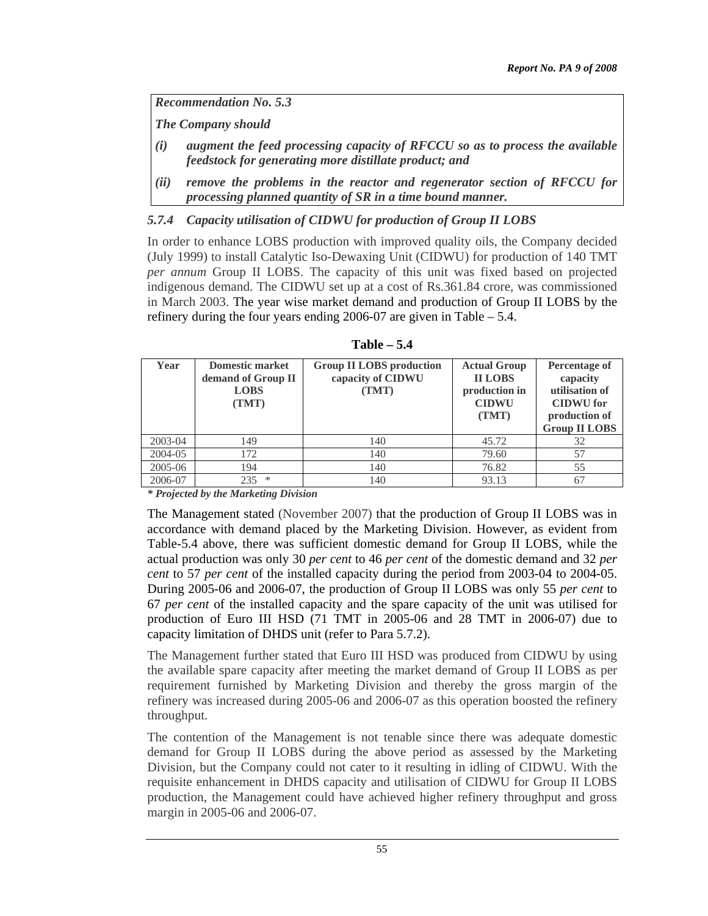*Recommendation No. 5.3* 

*The Company should* 

- *(i) augment the feed processing capacity of RFCCU so as to process the available feedstock for generating more distillate product; and*
- *(ii) remove the problems in the reactor and regenerator section of RFCCU for processing planned quantity of SR in a time bound manner.*

## *5.7.4 Capacity utilisation of CIDWU for production of Group II LOBS*

In order to enhance LOBS production with improved quality oils, the Company decided (July 1999) to install Catalytic Iso-Dewaxing Unit (CIDWU) for production of 140 TMT *per annum* Group II LOBS. The capacity of this unit was fixed based on projected indigenous demand. The CIDWU set up at a cost of Rs.361.84 crore, was commissioned in March 2003. The year wise market demand and production of Group II LOBS by the refinery during the four years ending 2006-07 are given in Table – 5.4.

| Year    | <b>Domestic market</b><br>demand of Group II<br><b>LOBS</b><br>(TMT) | <b>Group II LOBS production</b><br>capacity of CIDWU<br>(TMT) | <b>Actual Group</b><br><b>II LOBS</b><br>production in<br><b>CIDWU</b><br>(TMT) | Percentage of<br>capacity<br>utilisation of<br><b>CIDWU</b> for<br>production of<br><b>Group II LOBS</b> |
|---------|----------------------------------------------------------------------|---------------------------------------------------------------|---------------------------------------------------------------------------------|----------------------------------------------------------------------------------------------------------|
| 2003-04 | 149                                                                  | 140                                                           | 45.72                                                                           | 32                                                                                                       |
| 2004-05 | 172                                                                  | 140                                                           | 79.60                                                                           | 57                                                                                                       |
| 2005-06 | 194                                                                  | 140                                                           | 76.82                                                                           | 55                                                                                                       |
| 2006-07 | ∗<br>235                                                             | 140                                                           | 93.13                                                                           | 67                                                                                                       |

**Table – 5.4** 

*\* Projected by the Marketing Division* 

The Management stated (November 2007) that the production of Group II LOBS was in accordance with demand placed by the Marketing Division. However, as evident from Table-5.4 above, there was sufficient domestic demand for Group II LOBS, while the actual production was only 30 *per cent* to 46 *per cent* of the domestic demand and 32 *per cent* to 57 *per cent* of the installed capacity during the period from 2003-04 to 2004-05. During 2005-06 and 2006-07, the production of Group II LOBS was only 55 *per cent* to 67 *per cent* of the installed capacity and the spare capacity of the unit was utilised for production of Euro III HSD (71 TMT in 2005-06 and 28 TMT in 2006-07) due to capacity limitation of DHDS unit (refer to Para 5.7.2).

The Management further stated that Euro III HSD was produced from CIDWU by using the available spare capacity after meeting the market demand of Group II LOBS as per requirement furnished by Marketing Division and thereby the gross margin of the refinery was increased during 2005-06 and 2006-07 as this operation boosted the refinery throughput.

The contention of the Management is not tenable since there was adequate domestic demand for Group II LOBS during the above period as assessed by the Marketing Division, but the Company could not cater to it resulting in idling of CIDWU. With the requisite enhancement in DHDS capacity and utilisation of CIDWU for Group II LOBS production, the Management could have achieved higher refinery throughput and gross margin in 2005-06 and 2006-07.